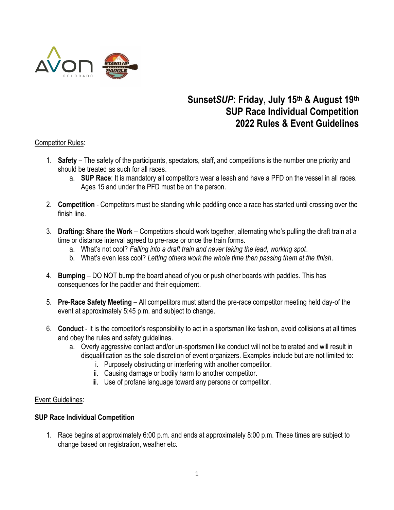

# **Sunset***SUP***: Friday, July 15th & August 19th SUP Race Individual Competition 2022 Rules & Event Guidelines**

## Competitor Rules:

- 1. **Safety** The safety of the participants, spectators, staff, and competitions is the number one priority and should be treated as such for all races.
	- a. **SUP Race**: It is mandatory all competitors wear a leash and have a PFD on the vessel in all races. Ages 15 and under the PFD must be on the person.
- 2. **Competition** Competitors must be standing while paddling once a race has started until crossing over the finish line.
- 3. **Drafting: Share the Work** Competitors should work together, alternating who's pulling the draft train at a time or distance interval agreed to pre-race or once the train forms.
	- a. What's not cool? *Falling into a draft train and never taking the lead, working spot*.
	- b. What's even less cool? *Letting others work the whole time then passing them at the finish*.
- 4. **Bumping** DO NOT bump the board ahead of you or push other boards with paddles. This has consequences for the paddler and their equipment.
- 5. **Pre**-**Race Safety Meeting** All competitors must attend the pre-race competitor meeting held day-of the event at approximately 5:45 p.m. and subject to change.
- 6. **Conduct** It is the competitor's responsibility to act in a sportsman like fashion, avoid collisions at all times and obey the rules and safety guidelines.
	- a. Overly aggressive contact and/or un-sportsmen like conduct will not be tolerated and will result in disqualification as the sole discretion of event organizers. Examples include but are not limited to:
		- i. Purposely obstructing or interfering with another competitor.
		- ii. Causing damage or bodily harm to another competitor.
		- iii. Use of profane language toward any persons or competitor.

## Event Guidelines:

#### **SUP Race Individual Competition**

1. Race begins at approximately 6:00 p.m. and ends at approximately 8:00 p.m. These times are subject to change based on registration, weather etc.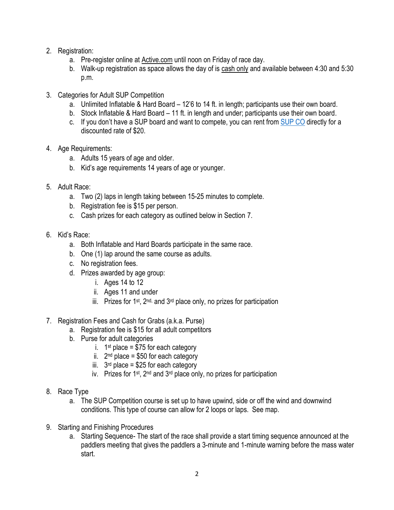- 2. Registration:
	- a. Pre-register online at [Active.com](https://www.active.com/avon-co/other-endurance/sunsetsup-2022) until noon on Friday of race day.
	- b. Walk-up registration as space allows the day of is cash only and available between 4:30 and 5:30 p.m.
- 3. Categories for Adult SUP Competition
	- a. Unlimited Inflatable & Hard Board 12'6 to 14 ft. in length; participants use their own board.
	- b. Stock Inflatable & Hard Board 11 ft. in length and under; participants use their own board.
	- c. If you don't have a SUP board and want to compete, you can rent from [SUP CO](https://standuppaddlecolorado.com/location/avon-vail/) directly for a discounted rate of \$20.
- 4. Age Requirements:
	- a. Adults 15 years of age and older.
	- b. Kid's age requirements 14 years of age or younger.
- 5. Adult Race:
	- a. Two (2) laps in length taking between 15-25 minutes to complete.
	- b. Registration fee is \$15 per person.
	- c. Cash prizes for each category as outlined below in Section 7.
- 6. Kid's Race:
	- a. Both Inflatable and Hard Boards participate in the same race.
	- b. One (1) lap around the same course as adults.
	- c. No registration fees.
	- d. Prizes awarded by age group:
		- i. Ages 14 to 12
		- ii. Ages 11 and under
		- iii. Prizes for 1<sup>st</sup>, 2<sup>nd,</sup> and 3<sup>rd</sup> place only, no prizes for participation
- 7. Registration Fees and Cash for Grabs (a.k.a. Purse)
	- a. Registration fee is \$15 for all adult competitors
	- b. Purse for adult categories
		- i. 1<sup>st</sup> place = \$75 for each category
		- ii. 2<sup>nd</sup> place = \$50 for each category
		- iii.  $3<sup>rd</sup>$  place = \$25 for each category
		- iv. Prizes for 1st, 2nd and 3rd place only, no prizes for participation
- 8. Race Type
	- a. The SUP Competition course is set up to have upwind, side or off the wind and downwind conditions. This type of course can allow for 2 loops or laps. See map.
- 9. Starting and Finishing Procedures
	- a. Starting Sequence- The start of the race shall provide a start timing sequence announced at the paddlers meeting that gives the paddlers a 3-minute and 1-minute warning before the mass water start.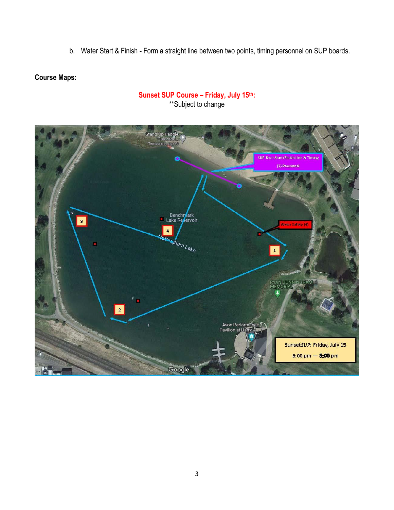b. Water Start & Finish - Form a straight line between two points, timing personnel on SUP boards.

# **Course Maps:**



# **Sunset SUP Course – Friday, July 15th:** \*\*Subject to change